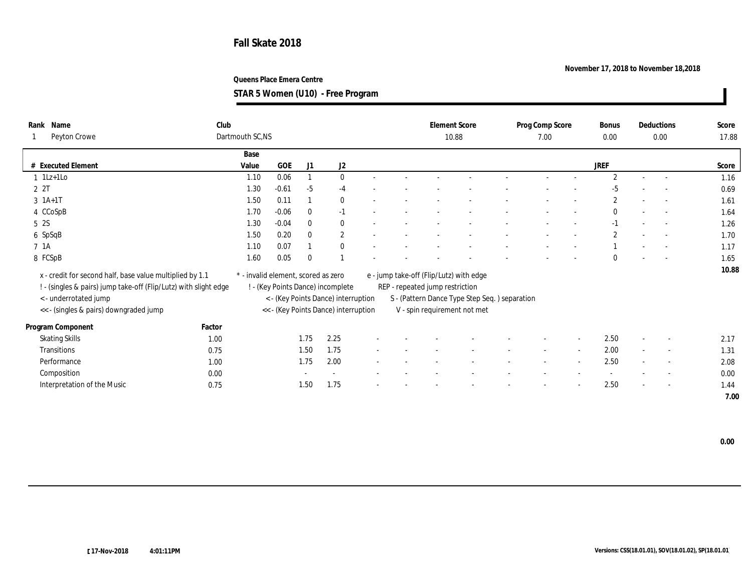## **November 17, 2018 to November 18,2018**

**Queens Place Emera Centre**

**STAR 5 Women (U10) - Free Program**

| Name<br>Rank                                                                              | Club   |                                     |            |              |                                                                          |  | <b>Element Score</b>            |                                               | Prog Comp Score | Bonus          | Deductions               | Score |
|-------------------------------------------------------------------------------------------|--------|-------------------------------------|------------|--------------|--------------------------------------------------------------------------|--|---------------------------------|-----------------------------------------------|-----------------|----------------|--------------------------|-------|
| Peyton Crowe                                                                              |        | Dartmouth SC,NS                     |            |              |                                                                          |  | 10.88                           |                                               | 7.00            | 0.00           | 0.00                     | 17.88 |
|                                                                                           |        | Base                                |            |              |                                                                          |  |                                 |                                               |                 |                |                          |       |
| # Executed Element                                                                        |        | Value                               | <b>GOE</b> | J1           | J2                                                                       |  |                                 |                                               |                 | JREF           |                          | Score |
| $1$ 1Lz+1Lo                                                                               |        | 1.10                                | 0.06       |              | $\mathbf{0}$                                                             |  |                                 |                                               |                 | $\overline{2}$ | $\sim$                   | 1.16  |
| 2 2T                                                                                      |        | 1.30                                | $-0.61$    | $-5$         | $-4$                                                                     |  |                                 |                                               |                 | $-5$           |                          | 0.69  |
| $3 \; 1A+1T$                                                                              |        | 1.50                                | 0.11       |              | $\mathbf{0}$                                                             |  |                                 |                                               |                 | $\mathbf{2}$   | $\sim$                   | 1.61  |
| 4 CCoSpB                                                                                  |        | 1.70                                | $-0.06$    | $\bf{0}$     | $-1$                                                                     |  |                                 |                                               |                 | $\Omega$       | $\sim$                   | 1.64  |
| 5 2S                                                                                      |        | 1.30                                | $-0.04$    | $\mathbf{0}$ | $\mathbf{0}$                                                             |  |                                 |                                               |                 | $-1$           | $\sim$                   | 1.26  |
| 6 SpSqB                                                                                   |        | 1.50                                | 0.20       | $\mathbf{0}$ | $\mathbf{2}$                                                             |  |                                 |                                               |                 | $\mathbf{2}$   | $\sim$                   | 1.70  |
| 7 1A                                                                                      |        | 1.10                                | 0.07       |              | $\mathbf{0}$                                                             |  |                                 |                                               |                 |                | $\sim$                   | 1.17  |
| 8 FCSpB                                                                                   |        | 1.60                                | 0.05       | $\bf{0}$     |                                                                          |  |                                 |                                               |                 | $\Omega$       | $\overline{\phantom{a}}$ | 1.65  |
| x - credit for second half, base value multiplied by 1.1                                  |        | * - invalid element, scored as zero |            |              |                                                                          |  |                                 | e - jump take-off (Flip/Lutz) with edge       |                 |                |                          | 10.88 |
|                                                                                           |        |                                     |            |              |                                                                          |  |                                 |                                               |                 |                |                          |       |
| ! - (singles & pairs) jump take-off (Flip/Lutz) with slight edge<br>< - underrotated jump |        |                                     |            |              | ! - (Key Points Dance) incomplete<br>< - (Key Points Dance) interruption |  | REP - repeated jump restriction | S - (Pattern Dance Type Step Seq.) separation |                 |                |                          |       |
| << - (singles & pairs) downgraded jump                                                    |        |                                     |            |              | << - (Key Points Dance) interruption                                     |  |                                 | V - spin requirement not met                  |                 |                |                          |       |
|                                                                                           |        |                                     |            |              |                                                                          |  |                                 |                                               |                 |                |                          |       |
| Program Component                                                                         | Factor |                                     |            |              |                                                                          |  |                                 |                                               |                 |                |                          |       |
| <b>Skating Skills</b>                                                                     | 1.00   |                                     |            | 1.75         | 2.25                                                                     |  |                                 |                                               |                 | 2.50           | $\overline{\phantom{a}}$ | 2.17  |
| Transitions                                                                               | 0.75   |                                     |            | 1.50         | 1.75                                                                     |  |                                 |                                               |                 | 2.00           | $\sim$                   | 1.31  |
| Performance                                                                               | 1.00   |                                     |            | 1.75         | 2.00                                                                     |  |                                 |                                               |                 | 2.50           | $\overline{\phantom{a}}$ | 2.08  |
| Composition                                                                               | 0.00   |                                     |            |              |                                                                          |  |                                 |                                               |                 |                | $\overline{\phantom{a}}$ | 0.00  |
| Interpretation of the Music                                                               | 0.75   |                                     |            | 1.50         | 1.75                                                                     |  |                                 |                                               |                 | 2.50           | $\overline{\phantom{a}}$ | 1.44  |
|                                                                                           |        |                                     |            |              |                                                                          |  |                                 |                                               |                 |                |                          | 7.00  |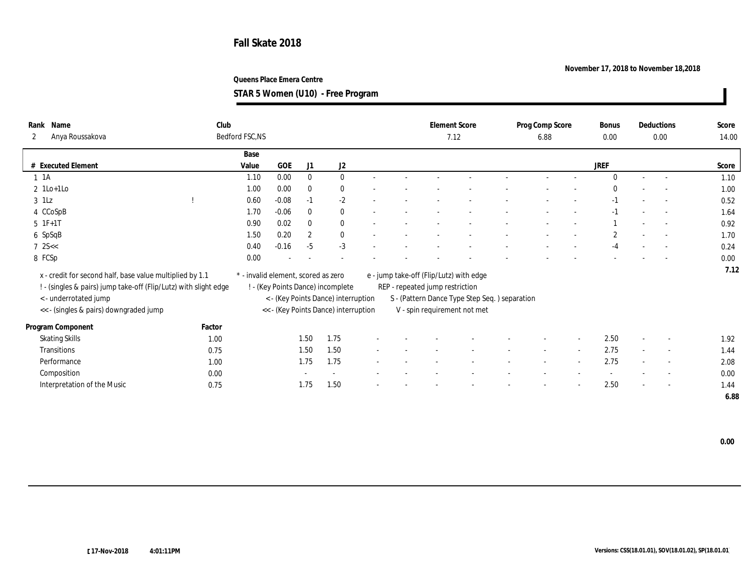## **November 17, 2018 to November 18,2018**

**Queens Place Emera Centre**

**STAR 5 Women (U10) - Free Program**

| Name<br>Rank<br>Anya Roussakova<br>$\mathbf{2}$                                                                                                                                                | Club   | Bedford FSC, NS                     |         |                                                                                                                  |          |                                 |                                                                                                                          | <b>Element Score</b><br>7.12 | Prog Comp Score<br>6.88 | <b>Bonus</b><br>0.00 |        | Deductions<br>0.00       | Score<br>14.00 |
|------------------------------------------------------------------------------------------------------------------------------------------------------------------------------------------------|--------|-------------------------------------|---------|------------------------------------------------------------------------------------------------------------------|----------|---------------------------------|--------------------------------------------------------------------------------------------------------------------------|------------------------------|-------------------------|----------------------|--------|--------------------------|----------------|
|                                                                                                                                                                                                |        | Base                                |         |                                                                                                                  |          |                                 |                                                                                                                          |                              |                         |                      |        |                          |                |
| # Executed Element                                                                                                                                                                             |        | Value                               | GOE     | J1                                                                                                               | J2       |                                 |                                                                                                                          |                              |                         | JREF                 |        |                          | Score          |
| $1 \t1A$                                                                                                                                                                                       |        | 1.10                                | 0.00    | $\mathbf{0}$                                                                                                     | $\bf{0}$ |                                 |                                                                                                                          |                              |                         | $\mathbf{0}$         | $\sim$ | $\sim$                   | 1.10           |
| $2 \text{1Lo+1Lo}$                                                                                                                                                                             |        | 1.00                                | 0.00    | $\mathbf{0}$                                                                                                     | $\bf{0}$ |                                 |                                                                                                                          |                              |                         | $\Omega$             |        |                          | 1.00           |
| $3$ 1Lz                                                                                                                                                                                        |        | 0.60                                | $-0.08$ | $-1$                                                                                                             | $-2$     |                                 |                                                                                                                          |                              |                         | $-1$                 |        | $\sim$                   | 0.52           |
| 4 CCoSpB                                                                                                                                                                                       |        | 1.70                                | $-0.06$ | $\mathbf{0}$                                                                                                     | $\bf{0}$ |                                 |                                                                                                                          |                              |                         | $-1$                 |        | $\sim$                   | 1.64           |
| 5 1F+1T                                                                                                                                                                                        |        | 0.90                                | 0.02    | $\theta$                                                                                                         | $\bf{0}$ |                                 |                                                                                                                          |                              |                         |                      |        | $\sim$                   | 0.92           |
| 6 SpSqB                                                                                                                                                                                        |        | 1.50                                | 0.20    | $\boldsymbol{2}$                                                                                                 | $\bf{0}$ |                                 |                                                                                                                          |                              |                         | $\boldsymbol{2}$     |        | $\sim$                   | 1.70           |
| $7$ 2S $<$                                                                                                                                                                                     |        | 0.40                                | $-0.16$ | $-5$                                                                                                             | $-3$     |                                 |                                                                                                                          |                              |                         | -4                   |        |                          | 0.24           |
| 8 FCSp                                                                                                                                                                                         |        | 0.00                                |         |                                                                                                                  |          |                                 |                                                                                                                          |                              |                         |                      |        |                          | 0.00           |
| x - credit for second half, base value multiplied by 1.1<br>! - (singles & pairs) jump take-off (Flip/Lutz) with slight edge<br><- underrotated jump<br><< - (singles & pairs) downgraded jump |        | * - invalid element, scored as zero |         | ! - (Key Points Dance) incomplete<br>< - (Key Points Dance) interruption<br><< - (Key Points Dance) interruption |          | REP - repeated jump restriction | e - jump take-off (Flip/Lutz) with edge<br>S - (Pattern Dance Type Step Seq.) separation<br>V - spin requirement not met |                              |                         |                      |        | 7.12                     |                |
|                                                                                                                                                                                                | Factor |                                     |         |                                                                                                                  |          |                                 |                                                                                                                          |                              |                         |                      |        |                          |                |
| Program Component                                                                                                                                                                              |        |                                     |         |                                                                                                                  |          |                                 |                                                                                                                          |                              |                         |                      |        |                          |                |
| <b>Skating Skills</b>                                                                                                                                                                          | 1.00   |                                     |         | 1.50                                                                                                             | 1.75     |                                 |                                                                                                                          |                              |                         | 2.50                 |        | $\overline{\phantom{a}}$ | 1.92           |
| Transitions                                                                                                                                                                                    | 0.75   |                                     |         | 1.50                                                                                                             | 1.50     |                                 |                                                                                                                          |                              |                         | 2.75                 |        | $\sim$                   | 1.44           |
| Performance                                                                                                                                                                                    | 1.00   |                                     |         | 1.75                                                                                                             | 1.75     |                                 |                                                                                                                          |                              |                         | 2.75                 |        | $\overline{\phantom{a}}$ | 2.08           |
| Composition                                                                                                                                                                                    | 0.00   |                                     |         |                                                                                                                  |          |                                 |                                                                                                                          |                              |                         |                      |        | $\overline{\phantom{a}}$ | 0.00           |
| Interpretation of the Music                                                                                                                                                                    | 0.75   |                                     |         | 1.75                                                                                                             | 1.50     |                                 |                                                                                                                          |                              |                         | 2.50                 |        | $\sim$                   | 1.44           |
|                                                                                                                                                                                                |        |                                     |         |                                                                                                                  |          |                                 |                                                                                                                          |                              |                         |                      |        |                          | 6.88           |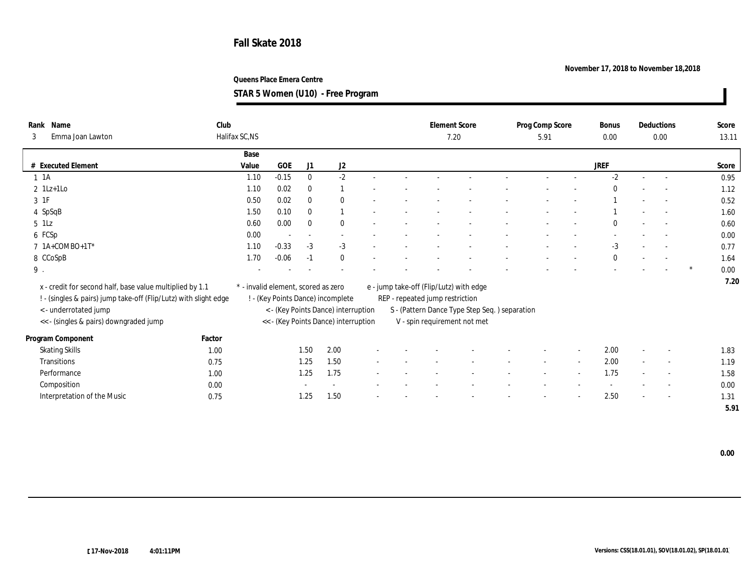## **November 17, 2018 to November 18,2018**

**Queens Place Emera Centre**

**STAR 5 Women (U10) - Free Program**

| Rank Name<br>Emma Joan Lawton<br>3 |                                                                  | Club<br>Halifax SC,NS |                                     |                          |                                      |  | <b>Element Score</b><br>7.20    |                                         |                                               | Prog Comp Score<br>5.91 |                          | Bonus<br>0.00 |        | Deductions<br>0.00       |   | Score<br>13.11 |
|------------------------------------|------------------------------------------------------------------|-----------------------|-------------------------------------|--------------------------|--------------------------------------|--|---------------------------------|-----------------------------------------|-----------------------------------------------|-------------------------|--------------------------|---------------|--------|--------------------------|---|----------------|
|                                    |                                                                  |                       |                                     |                          |                                      |  |                                 |                                         |                                               |                         |                          |               |        |                          |   |                |
|                                    |                                                                  | Base                  |                                     |                          |                                      |  |                                 |                                         |                                               |                         |                          |               |        |                          |   |                |
| # Executed Element                 |                                                                  | Value                 | GOE                                 | J1                       | J2                                   |  |                                 |                                         |                                               |                         |                          | JREF          |        |                          |   | Score          |
| $1 \t1A$                           |                                                                  | 1.10                  | $-0.15$                             | $\mathbf{0}$             | $-2$                                 |  |                                 |                                         |                                               |                         |                          | $-2$          |        | $\sim$                   |   | 0.95           |
| $2$ 1Lz+1Lo                        |                                                                  | 1.10                  | 0.02                                | $\bf{0}$                 |                                      |  |                                 |                                         |                                               |                         |                          |               |        |                          |   | 1.12           |
| 3 1F                               |                                                                  | 0.50                  | 0.02                                | $\mathbf{0}$             | $\mathbf{0}$                         |  |                                 |                                         |                                               |                         |                          |               |        |                          |   | 0.52           |
| 4 SpSqB                            |                                                                  | 1.50                  | 0.10                                | $\bf{0}$                 |                                      |  |                                 |                                         |                                               |                         |                          |               |        | $\sim$                   |   | 1.60           |
| 5 1Lz                              |                                                                  | 0.60                  | 0.00                                | $\bf{0}$                 | $\theta$                             |  |                                 |                                         |                                               |                         |                          | $\Omega$      |        | $\sim$                   |   | 0.60           |
| 6 FCSp                             |                                                                  | $0.00\,$              |                                     | $\overline{\phantom{a}}$ |                                      |  |                                 |                                         |                                               |                         |                          |               |        |                          |   | 0.00           |
| $7$ 1A+COMBO+1T*                   |                                                                  | 1.10                  | $-0.33$                             | $-3$                     | $-3$                                 |  |                                 |                                         |                                               |                         |                          | $-3$          |        | $\sim$                   |   | 0.77           |
| 8 CCoSpB                           |                                                                  | 1.70                  | $-0.06$                             | $-1$                     | $\mathbf{0}$                         |  |                                 |                                         |                                               |                         |                          | $\Omega$      |        | $\sim$                   |   | 1.64           |
| $9$ .                              |                                                                  |                       |                                     |                          |                                      |  |                                 |                                         |                                               |                         |                          |               |        |                          | ∗ | 0.00           |
|                                    |                                                                  |                       |                                     |                          |                                      |  |                                 |                                         |                                               |                         |                          |               |        |                          |   | 7.20           |
|                                    | x - credit for second half, base value multiplied by 1.1         |                       | * - invalid element, scored as zero |                          |                                      |  |                                 | e - jump take-off (Flip/Lutz) with edge |                                               |                         |                          |               |        |                          |   |                |
|                                    | ! - (singles & pairs) jump take-off (Flip/Lutz) with slight edge |                       | ! - (Key Points Dance) incomplete   |                          |                                      |  | REP - repeated jump restriction |                                         |                                               |                         |                          |               |        |                          |   |                |
|                                    | <- underrotated jump                                             |                       |                                     |                          | < - (Key Points Dance) interruption  |  |                                 |                                         | S - (Pattern Dance Type Step Seq.) separation |                         |                          |               |        |                          |   |                |
|                                    | << - (singles & pairs) downgraded jump                           |                       |                                     |                          | << - (Key Points Dance) interruption |  |                                 | V - spin requirement not met            |                                               |                         |                          |               |        |                          |   |                |
| Program Component                  | Factor                                                           |                       |                                     |                          |                                      |  |                                 |                                         |                                               |                         |                          |               |        |                          |   |                |
| <b>Skating Skills</b>              |                                                                  | 1.00                  |                                     | 1.50                     | 2.00                                 |  |                                 |                                         |                                               |                         |                          | 2.00          |        |                          |   | 1.83           |
| Transitions                        |                                                                  | 0.75                  |                                     | 1.25                     | 1.50                                 |  |                                 |                                         |                                               |                         | $\overline{\phantom{a}}$ | 2.00          | $\sim$ | $\sim$                   |   | 1.19           |
| Performance                        |                                                                  | 1.00                  |                                     | 1.25                     | 1.75                                 |  |                                 |                                         |                                               |                         |                          | 1.75          |        | $\overline{\phantom{a}}$ |   | 1.58           |
| Composition                        |                                                                  | 0.00                  |                                     |                          |                                      |  |                                 |                                         |                                               |                         |                          |               |        | $\overline{\phantom{a}}$ |   | 0.00           |
|                                    | Interpretation of the Music                                      | 0.75                  |                                     | 1.25                     | 1.50                                 |  |                                 |                                         |                                               |                         |                          | 2.50          |        | $\sim$                   |   | 1.31           |

 **5.91**